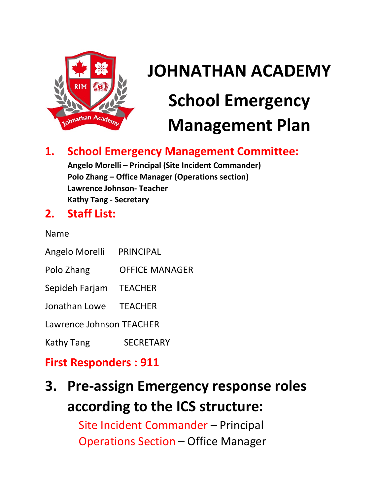

# **JOHNATHAN ACADEMY School Emergency Management Plan**

### **1. School Emergency Management Committee:**

**Angelo Morelli – Principal (Site Incident Commander) Polo Zhang – Office Manager (Operations section) Lawrence Johnson- Teacher Kathy Tang - Secretary**

### **2. Staff List:**

Name

- Angelo Morelli PRINCIPAL
- Polo Zhang OFFICE MANAGER
- Sepideh Farjam TEACHER
- Jonathan Lowe TEACHER

Lawrence Johnson TEACHER

Kathy Tang SECRETARY

### **First Responders : 911**

# **3. Pre-assign Emergency response roles according to the ICS structure:**

Site Incident Commander – Principal Operations Section – Office Manager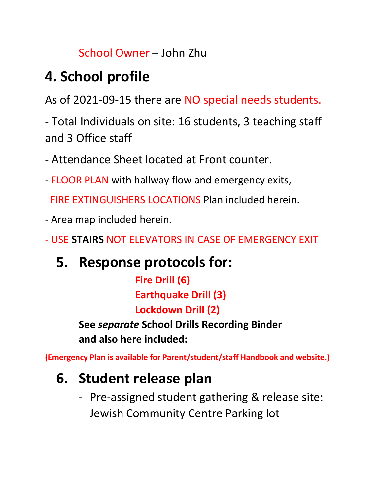### School Owner – John Zhu

# **4. School profile**

As of 2021-09-15 there are NO special needs students.

- Total Individuals on site: 16 students, 3 teaching staff and 3 Office staff

- Attendance Sheet located at Front counter.

- FLOOR PLAN with hallway flow and emergency exits,
	- FIRE EXTINGUISHERS LOCATIONS Plan included herein.
- Area map included herein.
- USE **STAIRS** NOT ELEVATORS IN CASE OF EMERGENCY EXIT

# **5. Response protocols for:**

**Fire Drill (6) Earthquake Drill (3) Lockdown Drill (2)**

**See** *separate* **School Drills Recording Binder and also here included:**

**(Emergency Plan is available for Parent/student/staff Handbook and website.)**

# **6. Student release plan**

- Pre-assigned student gathering & release site: Jewish Community Centre Parking lot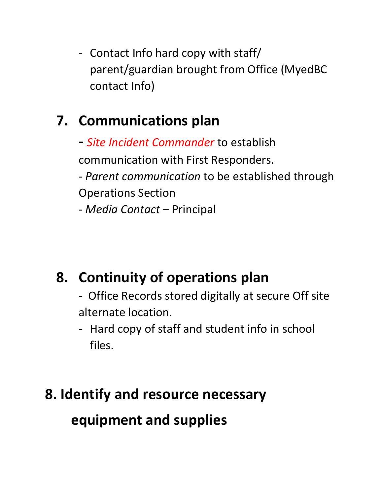- Contact Info hard copy with staff/ parent/guardian brought from Office (MyedBC contact Info)

# **7. Communications plan**

**-** *Site Incident Commander* to establish communication with First Responders. - *Parent communication* to be established through Operations Section - *Media Contact* – Principal

# **8. Continuity of operations plan**

- Office Records stored digitally at secure Off site alternate location.

- Hard copy of staff and student info in school files.

# **8. Identify and resource necessary**

## **equipment and supplies**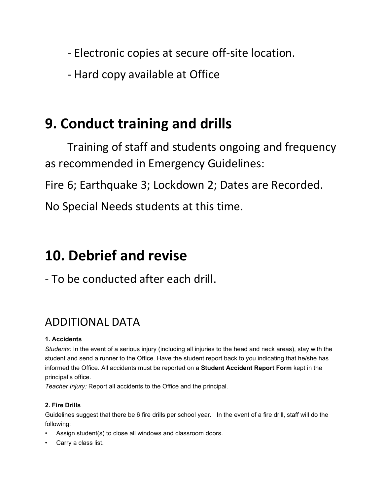- Electronic copies at secure off-site location.

- Hard copy available at Office

### **9. Conduct training and drills**

Training of staff and students ongoing and frequency as recommended in Emergency Guidelines:

Fire 6; Earthquake 3; Lockdown 2; Dates are Recorded.

No Special Needs students at this time.

### **10. Debrief and revise**

- To be conducted after each drill.

### ADDITIONAL DATA

### **1. Accidents**

*Students:* In the event of a serious injury (including all injuries to the head and neck areas), stay with the student and send a runner to the Office. Have the student report back to you indicating that he/she has informed the Office. All accidents must be reported on a **Student Accident Report Form** kept in the principal's office.

*Teacher Injury:* Report all accidents to the Office and the principal.

#### **2. Fire Drills**

Guidelines suggest that there be 6 fire drills per school year. In the event of a fire drill, staff will do the following:

- Assign student(s) to close all windows and classroom doors.
- Carry a class list.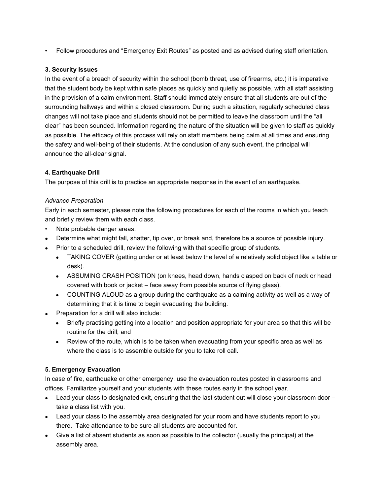• Follow procedures and "Emergency Exit Routes" as posted and as advised during staff orientation.

#### **3. Security Issues**

In the event of a breach of security within the school (bomb threat, use of firearms, etc.) it is imperative that the student body be kept within safe places as quickly and quietly as possible, with all staff assisting in the provision of a calm environment. Staff should immediately ensure that all students are out of the surrounding hallways and within a closed classroom. During such a situation, regularly scheduled class changes will not take place and students should not be permitted to leave the classroom until the "all clear" has been sounded. Information regarding the nature of the situation will be given to staff as quickly as possible. The efficacy of this process will rely on staff members being calm at all times and ensuring the safety and well-being of their students. At the conclusion of any such event, the principal will announce the all-clear signal.

#### **4. Earthquake Drill**

The purpose of this drill is to practice an appropriate response in the event of an earthquake.

#### *Advance Preparation*

Early in each semester, please note the following procedures for each of the rooms in which you teach and briefly review them with each class.

- Note probable danger areas.
- Determine what might fall, shatter, tip over, or break and, therefore be a source of possible injury.
- Prior to a scheduled drill, review the following with that specific group of students.
	- TAKING COVER (getting under or at least below the level of a relatively solid object like a table or desk).
	- ASSUMING CRASH POSITION (on knees, head down, hands clasped on back of neck or head covered with book or jacket – face away from possible source of flying glass).
	- COUNTING ALOUD as a group during the earthquake as a calming activity as well as a way of determining that it is time to begin evacuating the building.
- Preparation for a drill will also include:
	- Briefly practising getting into a location and position appropriate for your area so that this will be routine for the drill; and
	- Review of the route, which is to be taken when evacuating from your specific area as well as where the class is to assemble outside for you to take roll call.

#### **5. Emergency Evacuation**

In case of fire, earthquake or other emergency, use the evacuation routes posted in classrooms and offices. Familiarize yourself and your students with these routes early in the school year.

- Lead your class to designated exit, ensuring that the last student out will close your classroom door take a class list with you.
- Lead your class to the assembly area designated for your room and have students report to you there. Take attendance to be sure all students are accounted for.
- Give a list of absent students as soon as possible to the collector (usually the principal) at the assembly area.